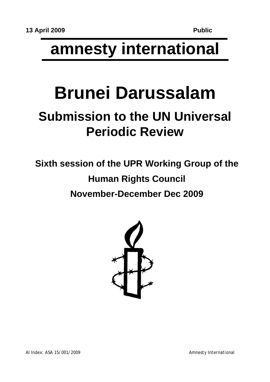## **amnesty international**

# **Brunei Darussalam**

## **Submission to the UN Universal Periodic Review**

### **Sixth session of the UPR Working Group of the Human Rights Council November-December Dec 2009**

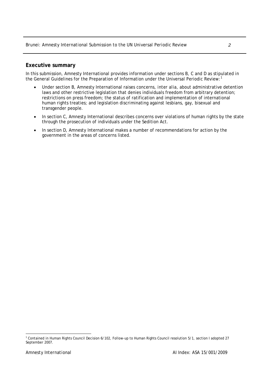#### **Executive summary**

In this submission, Amnesty International provides information under sections B, C and D as stipulated in the General Guidelines for the Preparation of Information under the Universal Periodic Review:<sup>[1](#page-1-0)</sup>

- Under section B, Amnesty International raises concerns, *inter alia,* about administrative detention laws and other restrictive legislation that denies individuals freedom from arbitrary detention; restrictions on press freedom; the status of ratification and implementation of international human rights treaties; and legislation discriminating against lesbians, gay, bisexual and transgender people.
- In section C, Amnesty International describes concerns over violations of human rights by the state through the prosecution of individuals under the Sedition Act.
- In section D, Amnesty International makes a number of recommendations for action by the government in the areas of concerns listed.

<span id="page-1-0"></span> 1 Contained in Human Rights Council Decision 6/102, Follow-up to Human Rights Council resolution 5/1, section I adopted 27 September 2007.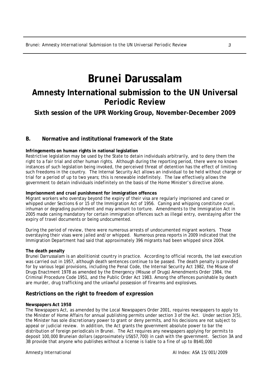### **Brunei Darussalam**

### **Amnesty International submission to the UN Universal Periodic Review**

**Sixth session of the UPR Working Group, November-December 2009** 

#### **B. Normative and institutional framework of the State**

#### **Infringements on human rights in national legislation**

Restrictive legislation may be used by the State to detain individuals arbitrarily, and to deny them the right to a fair trial and other human rights. Although during the reporting period, there were no known instances of such legislation being invoked, the perceived threat of detention has the effect of limiting such freedoms in the country. The Internal Security Act allows an individual to be held without charge or trial for a period of up to two years; this is renewable indefinitely. The law effectively allows the government to detain individuals indefinitely on the basis of the Home Minister's directive alone.

#### **Imprisonment and cruel punishment for immigration offences**

Migrant workers who overstay beyond the expiry of their visa are regularly imprisoned and caned or whipped under Sections 6 or 15 of the Immigration Act of 1956. Caning and whipping constitute cruel, inhuman or degrading punishment and may amount to torture. Amendments to the Immigration Act in 2005 made caning mandatory for certain immigration offences such as illegal entry, overstaying after the expiry of travel documents or being undocumented.

During the period of review, there were numerous arrests of undocumented migrant workers. Those overstaying their visas were jailed and/or whipped. Numerous press reports in 2009 indicated that the Immigration Department had said that approximately 396 migrants had been whipped since 2004.

#### **The death penalty**

Brunei Darrussalam is an abolitionist country in practice. According to official records, the last execution was carried out in 1957, although death sentences continue to be passed. The death penalty is provided for by various legal provisions, including the Penal Code, the Internal Security Act 1982, the Misuse of Drugs Enactment 1978 as amended by the Emergency (Misuse of Drugs) Amendments Order 1984, the Criminal Procedure Code 1951, and the Public Order Act 1983. Among the offences punishable by death are murder, drug trafficking and the unlawful possession of firearms and explosives.

#### **Restrictions on the right to freedom of expression**

#### **Newspapers Act 1958**

The Newspapers Act, as amended by the Local Newspapers Order 2001, requires newspapers to apply to the Minister of Home Affairs for annual publishing permits under section 3 of the Act. Under section 3(5), the Minister has sole discretionary power to grant or deny permits, and his decisions are not subject to appeal or judicial review. In addition, the Act grants the government absolute power to bar the distribution of foreign periodicals in Brunei. The Act requires any newspapers applying for permits to deposit 100,000 Bruneian dollars (approximately US\$57,700) in cash with the government. Section 3A and 3B provide that anyone who publishes without a license is liable to a fine of up to B\$40,000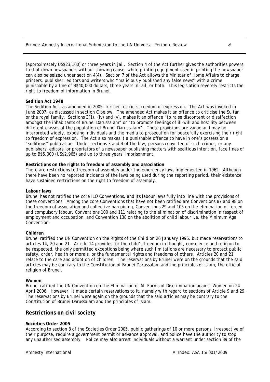(approximately US\$23,100) or three years in jail. Section 4 of the Act further gives the authorities powers to shut down newspapers without showing cause, while printing equipment used in printing the newspaper can also be seized under section 4(4). Section 7 of the Act allows the Minister of Home Affairs to charge printers, publisher, editors and writers who "maliciously published any false news" with a crime punishable by a fine of B\$40,000 dollars, three years in jail, or both. This legislation severely restricts the right to freedom of information in Brunei.

#### **Sedition Act 1948**

The Sedition Act, as amended in 2005, further restricts freedom of expression. The Act was invoked in June 2007, as discussed in section C below. The amended Act makes it an offence to criticise the Sultan or the royal family. Sections 3(1), (iv) and (v), makes it an offence "to raise discontent or disaffection amongst the inhabitants of Brunei Darussalam" or "to promote feelings of ill-will and hostility between different classes of the population of Brunei Darussalam". These provisions are vague and may be interpreted widely, exposing individuals and the media to prosecution for peacefully exercising their right to freedom of expression. The Act also makes it a punishable offence to have in one's possession a "seditious" publication. Under sections 3 and 4 of the law, persons convicted of such crimes, or any publishers, editors, or proprietors of a newspaper publishing matters with seditious intention, face fines of up to B\$5,000 (US\$2,965) and up to three years' imprisonment.

#### **Restrictions on the rights to freedom of assembly and association**

There are restrictions to freedom of assembly under the emergency laws implemented in 1962. Although there have been no reported incidents of the laws being used during the reporting period, their existence have sustained restrictions on the right to freedom of assembly.

#### **Labour laws**

Brunei has not ratified the core ILO Conventions, and its labour laws fully into line with the provisions of these conventions. Among the core Conventions that have not been ratified are Conventions 87 and 98 on the freedom of association and collective bargaining, Conventions 29 and 105 on the elimination of forced and compulsory labour, Conventions 100 and 111 relating to the elimination of discrimination in respect of employment and occupation, and Convention 138 on the abolition of child labour i.e. the Minimum Age Convention.

#### **Children**

Brunei ratified the UN Convention on the Rights of the Child on 26 January 1996, but made reservations to articles 14, 20 and 21. Article 14 provides for the child's freedom in thought, conscience and religion to be respected, the only permitted exceptions being where such limitations are necessary to protect public safety, order, health or morals, or the fundamental rights and freedoms of others. Articles 20 and 21 relate to the care and adoption of children. The reservations by Brunei were on the grounds that the said articles may be contrary to the Constitution of Brunei Darussalam and the principles of Islam, the official religion of Brunei.

#### **Women**

Brunei ratified the UN Convention on the Elimination of All Forms of Discrimination against Women on 24 April 2006. However, it made certain reservations to it, namely with regard to sections of Article 9 and 29. The reservations by Brunei were again on the grounds that the said articles may be contrary to the Constitution of Brunei Darussalam and the principles of Islam.

#### **Restrictions on civil society**

#### **Societies Order 2005**

According to section 8 of the Societies Order 2005, public gatherings of 10 or more persons, irrespective of their purpose, require a government permit or advance approval, and police have the authority to stop any unauthorised assembly. Police may also arrest individuals without a warrant under section 39 of the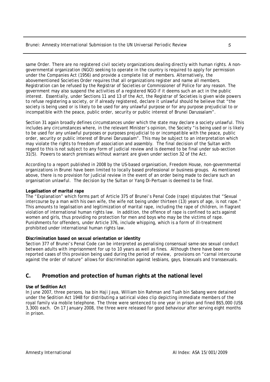same Order. There are no registered civil society organizations dealing directly with human rights. A nongovernmental organization (NGO) seeking to operate in the country is required to apply for permission under the Companies Act (1956) and provide a complete list of members. Alternatively, the abovementioned Societies Order requires that all organizations register and name all members. Registration can be refused by the Registrar of Societies or Commissioner of Police for any reason. The government may also suspend the activities of a registered NGO if it deems such an act in the public interest. Essentially, under Sections 11 and 13 of the Act, the Registrar of Societies is given wide powers to refuse registering a society, or if already registered, declare it unlawful should he believe that "the society is being used or is likely to be used for any unlawful purpose or for any purpose prejudicial to or incompatible with the peace, public order, security or public interest of Brunei Darussalam".

Section 31 again broadly defines circumstances under which the state may declare a society unlawful. This includes any circumstances where, in the relevant Minister's opinion, the Society "is being used or is likely to be used for any unlawful purposes or purposes prejudicial to or incompatible with the peace, public order, security or public interest of Brunei Darussalam". This may be subject to an interpretation which may violate the rights to freedom of association and assembly. The final decision of the Sultan with regard to this is not subject to any form of judicial review and is deemed to be final under sub-section 31(5). Powers to search premises without warrant are given under section 32 of the Act.

According to a report published in 2008 by the US-based organisation, Freedom House, non-governmental organizations in Brunei have been limited to locally based professional or business groups. As mentioned above, there is no provision for judicial review in the event of an order being made to declare such an organisation unlawful. The decision by the Sultan or Yang Di-Pertuan is deemed to be final.

#### **Legalisation of marital rape**

The "Explanation" which forms part of Article 375 of Brunei's Penal Code (rape) stipulates that "Sexual intercourse by a man with his own wife, the wife not being under thirteen (13) years of age, is not rape." This amounts to legalisation and legitimization of marital rape, including the rape of children, in flagrant violation of international human rights law. In addition, the offence of rape is confined to acts against women and girls, thus providing no protection for men and boys who may be the victims of rape. Punishments for offenders, under Article 376, include whipping, which is a form of ill-treatment prohibited under international human rights law.

#### **Discrimination based on sexual orientation or identity**

Section 377 of Brunei's Penal Code can be interpreted as penalising consensual same-sex sexual conduct between adults with imprisonment for up to 10 years as well as fines. Although there have been no reported cases of this provision being used during the period of review, provisions on "carnal intercourse against the order of nature" allows for discrimination against lesbians, gays, bisexuals and transsexuals.

#### **C. Promotion and protection of human rights at the national level**

#### **Use of Sedition Act**

In June 2007, three persons, Isa bin Haji Jaya, William bin Rahman and Tuah bin Sabang were detained under the Sedition Act 1948 for distributing a satirical video clip depicting immediate members of the royal family via mobile telephone. The three were sentenced to one year in prison and fined B\$5,000 (US\$ 3,300) each. On 17 January 2008, the three were released for good behaviour after serving eight months in prison.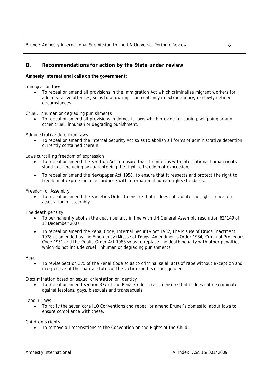#### **D. Recommendations for action by the State under review**

#### **Amnesty International calls on the government:**

#### *Immigration laws*

• To repeal or amend all provisions in the Immigration Act which criminalise migrant workers for administrative offences, so as to allow imprisonment only in extraordinary, narrowly defined circumstances.

#### *Cruel, inhuman or degrading punishments*

• To repeal or amend all provisions in domestic laws which provide for caning, whipping or any other cruel, inhuman or degrading punishment.

#### *Administrative detention laws*

• To repeal or amend the Internal Security Act so as to abolish all forms of administrative detention currently contained therein.

#### *Laws curtailing freedom of expression*

- To repeal or amend the Sedition Act to ensure that it conforms with international human rights standards, including by guaranteeing the right to freedom of expression;
- To repeal or amend the Newspaper Act 1958, to ensure that it respects and protect the right to freedom of expression in accordance with international human rights standards.

#### *Freedom of Assembly*

• To repeal or amend the Societies Order to ensure that it does not violate the right to peaceful association or assembly.

#### *The death penalty*

- To permanently abolish the death penalty in line with UN General Assembly resolution 62/149 of 18 December 2007;
- To repeal or amend the Penal Code, Internal Security Act 1982, the Misuse of Drugs Enactment 1978 as amended by the Emergency (Misuse of Drugs) Amendments Order 1984, Criminal Procedure Code 1951 and the Public Order Act 1983 so as to replace the death penalty with other penalties, which do not include cruel, inhuman or degrading punishments.

#### *Rape*

• To revise Section 375 of the Penal Code so as to criminalise all acts of rape without exception and irrespective of the marital status of the victim and his or her gender.

#### *Discrimination based on sexual orientation or identity*

• To repeal or amend Section 377 of the Penal Code, so as to ensure that it does not discriminate against lesbians, gays, bisexuals and transsexuals.

#### *Labour Laws*

• To ratify the seven core ILO Conventions and repeal or amend Brunei's domestic labour laws to ensure compliance with these.

#### *Children's rights*

• To remove all reservations to the Convention on the Rights of the Child.